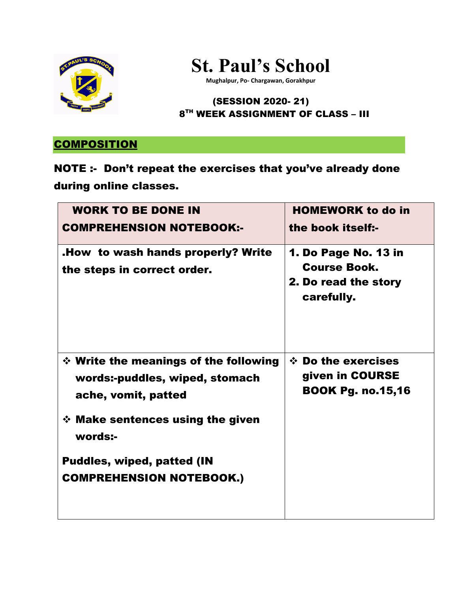



**Mughalpur, Po- Chargawan, Gorakhpur**

### (SESSION 2020- 21) 8 TH WEEK ASSIGNMENT OF CLASS – III

## **COMPOSITION**

# NOTE :- Don't repeat the exercises that you've already done during online classes.

| <b>WORK TO BE DONE IN</b><br><b>COMPREHENSION NOTEBOOK:-</b>                                                                                                                                                                    | <b>HOMEWORK to do in</b><br>the book itself:-                                            |
|---------------------------------------------------------------------------------------------------------------------------------------------------------------------------------------------------------------------------------|------------------------------------------------------------------------------------------|
| <b>How to wash hands properly? Write.</b><br>the steps in correct order.                                                                                                                                                        | <b>1. Do Page No. 13 in</b><br><b>Course Book.</b><br>2. Do read the story<br>carefully. |
| $\div$ Write the meanings of the following<br>words:-puddles, wiped, stomach<br>ache, vomit, patted<br>$\div$ Make sentences using the given<br>words:-<br><b>Puddles, wiped, patted (IN</b><br><b>COMPREHENSION NOTEBOOK.)</b> | $\div$ Do the exercises<br>given in COURSE<br><b>BOOK Pg. no.15,16</b>                   |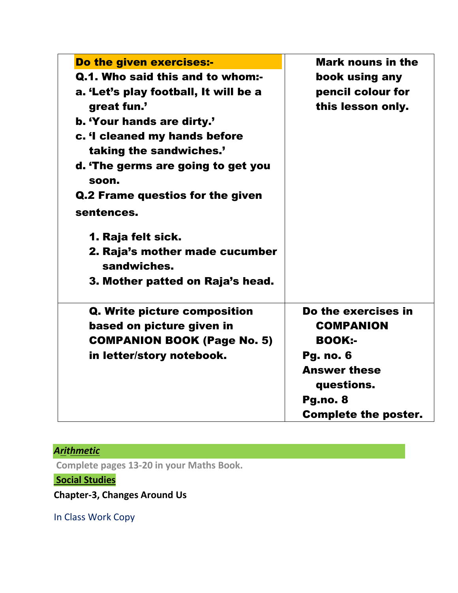| Do the given exercises:-                      | <b>Mark nouns in the</b>    |
|-----------------------------------------------|-----------------------------|
| Q.1. Who said this and to whom:-              | book using any              |
| a. 'Let's play football, It will be a         | pencil colour for           |
| great fun.'                                   | this lesson only.           |
| b. 'Your hands are dirty.'                    |                             |
| c. 'I cleaned my hands before                 |                             |
| taking the sandwiches.'                       |                             |
| d. 'The germs are going to get you            |                             |
| soon.                                         |                             |
| Q.2 Frame questios for the given              |                             |
| sentences.                                    |                             |
| 1. Raja felt sick.                            |                             |
| 2. Raja's mother made cucumber<br>sandwiches. |                             |
| 3. Mother patted on Raja's head.              |                             |
| Q. Write picture composition                  | Do the exercises in         |
| based on picture given in                     | <b>COMPANION</b>            |
| <b>COMPANION BOOK (Page No. 5)</b>            | <b>BOOK:-</b>               |
| in letter/story notebook.                     | <b>Pg. no. 6</b>            |
|                                               | <b>Answer these</b>         |
|                                               | questions.                  |
|                                               | Pg.no. 8                    |
|                                               | <b>Complete the poster.</b> |
|                                               |                             |

# *Arithmetic*

**Complete pages 13-20 in your Maths Book.** 

**Social Studies**

**Chapter-3, Changes Around Us**

In Class Work Copy